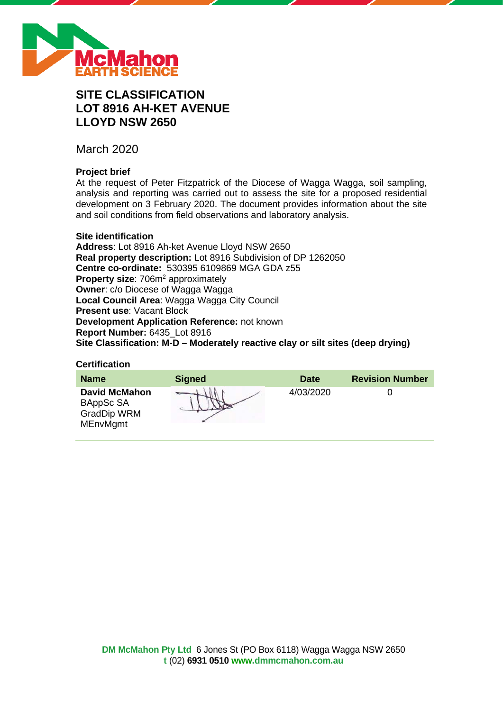

# **SITE CLASSIFICATION LOT 8916 AH-KET AVENUE LLOYD NSW 2650**

March 2020

# **Project brief**

At the request of Peter Fitzpatrick of the Diocese of Wagga Wagga, soil sampling, analysis and reporting was carried out to assess the site for a proposed residential development on 3 February 2020. The document provides information about the site and soil conditions from field observations and laboratory analysis.

### **Site identification**

**Address**: Lot 8916 Ah-ket Avenue Lloyd NSW 2650 **Real property description:** Lot 8916 Subdivision of DP 1262050 **Centre co-ordinate:** 530395 6109869 MGA GDA z55 **Property size: 706m<sup>2</sup> approximately Owner**: c/o Diocese of Wagga Wagga **Local Council Area**: Wagga Wagga City Council **Present use**: Vacant Block **Development Application Reference:** not known **Report Number:** 6435\_Lot 8916 **Site Classification: M-D – Moderately reactive clay or silt sites (deep drying)**

### **Certification**

| <b>Name</b>                                                                | <b>Signed</b> | <b>Date</b> | <b>Revision Number</b> |
|----------------------------------------------------------------------------|---------------|-------------|------------------------|
| <b>David McMahon</b><br>BAppSc SA<br><b>GradDip WRM</b><br><b>MEnvMgmt</b> |               | 4/03/2020   |                        |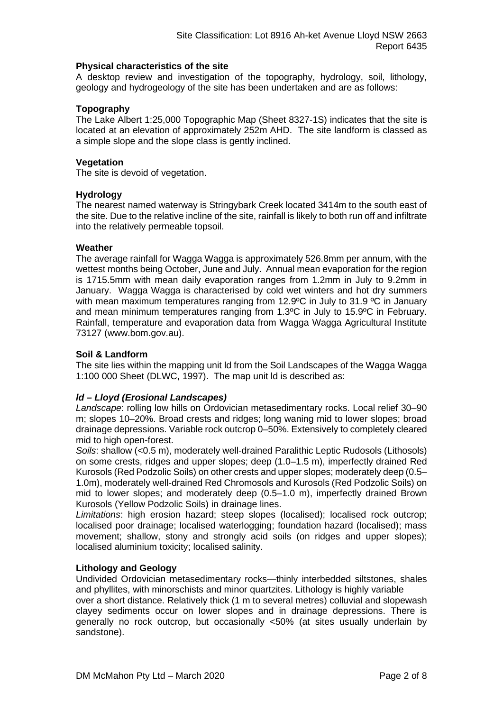### **Physical characteristics of the site**

A desktop review and investigation of the topography, hydrology, soil, lithology, geology and hydrogeology of the site has been undertaken and are as follows:

# **Topography**

The Lake Albert 1:25,000 Topographic Map (Sheet 8327-1S) indicates that the site is located at an elevation of approximately 252m AHD. The site landform is classed as a simple slope and the slope class is gently inclined.

### **Vegetation**

The site is devoid of vegetation.

### **Hydrology**

The nearest named waterway is Stringybark Creek located 3414m to the south east of the site. Due to the relative incline of the site, rainfall is likely to both run off and infiltrate into the relatively permeable topsoil.

### **Weather**

The average rainfall for Wagga Wagga is approximately 526.8mm per annum, with the wettest months being October, June and July. Annual mean evaporation for the region is 1715.5mm with mean daily evaporation ranges from 1.2mm in July to 9.2mm in January. Wagga Wagga is characterised by cold wet winters and hot dry summers with mean maximum temperatures ranging from 12.9°C in July to 31.9 °C in January and mean minimum temperatures ranging from 1.3ºC in July to 15.9ºC in February. Rainfall, temperature and evaporation data from Wagga Wagga Agricultural Institute 73127 (www.bom.gov.au).

### **Soil & Landform**

The site lies within the mapping unit ld from the Soil Landscapes of the Wagga Wagga 1:100 000 Sheet (DLWC, 1997). The map unit ld is described as:

# *ld – Lloyd (Erosional Landscapes)*

*Landscape*: rolling low hills on Ordovician metasedimentary rocks. Local relief 30–90 m; slopes 10–20%. Broad crests and ridges; long waning mid to lower slopes; broad drainage depressions. Variable rock outcrop 0–50%. Extensively to completely cleared mid to high open-forest.

*Soils*: shallow (<0.5 m), moderately well-drained Paralithic Leptic Rudosols (Lithosols) on some crests, ridges and upper slopes; deep (1.0–1.5 m), imperfectly drained Red Kurosols (Red Podzolic Soils) on other crests and upper slopes; moderately deep (0.5– 1.0m), moderately well-drained Red Chromosols and Kurosols (Red Podzolic Soils) on mid to lower slopes; and moderately deep (0.5–1.0 m), imperfectly drained Brown Kurosols (Yellow Podzolic Soils) in drainage lines.

*Limitations*: high erosion hazard; steep slopes (localised); localised rock outcrop; localised poor drainage; localised waterlogging; foundation hazard (localised); mass movement; shallow, stony and strongly acid soils (on ridges and upper slopes); localised aluminium toxicity; localised salinity.

# **Lithology and Geology**

Undivided Ordovician metasedimentary rocks—thinly interbedded siltstones, shales and phyllites, with minorschists and minor quartzites. Lithology is highly variable

over a short distance. Relatively thick (1 m to several metres) colluvial and slopewash clayey sediments occur on lower slopes and in drainage depressions. There is generally no rock outcrop, but occasionally <50% (at sites usually underlain by sandstone).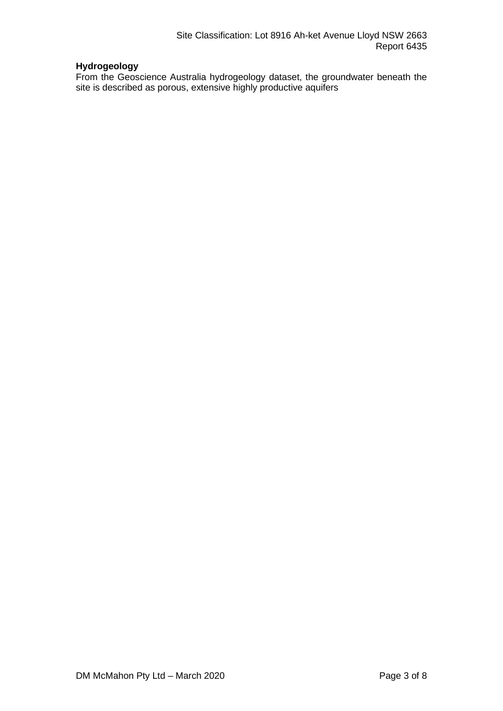# **Hydrogeology**

From the Geoscience Australia hydrogeology dataset, the groundwater beneath the site is described as porous, extensive highly productive aquifers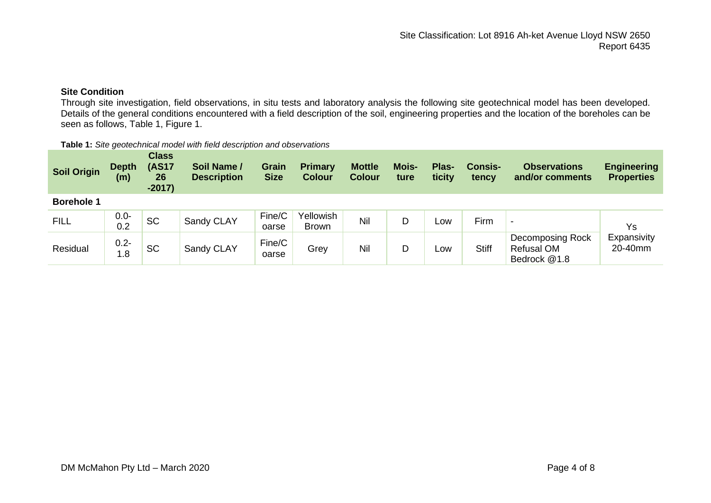# **Site Condition**

Through site investigation, field observations, in situ tests and laboratory analysis the following site geotechnical model has been developed. Details of the general conditions encountered with a field description of the soil, engineering properties and the location of the boreholes can be seen as follows, Table 1, Figure 1.

#### **Table 1:** *Site geotechnical model with field description and observations*

| Soil Origin       | <b>Depth</b><br>(m) | <b>Class</b><br><b>(AS17</b><br>26<br>$-2017)$ | Soil Name /<br><b>Description</b> | Grain<br><b>Size</b> | <b>Primary</b><br><b>Colour</b> | <b>Mottle</b><br><b>Colour</b> | Mois-<br>ture | Plas-<br>ticity | <b>Consis-</b><br>tency | <b>Observations</b><br>and/or comments                       | <b>Engineering</b><br><b>Properties</b> |
|-------------------|---------------------|------------------------------------------------|-----------------------------------|----------------------|---------------------------------|--------------------------------|---------------|-----------------|-------------------------|--------------------------------------------------------------|-----------------------------------------|
| <b>Borehole 1</b> |                     |                                                |                                   |                      |                                 |                                |               |                 |                         |                                                              |                                         |
| <b>FILL</b>       | $0.0 -$<br>0.2      | <b>SC</b>                                      | Sandy CLAY                        | Fine/C<br>oarse      | Yellowish<br>Brown              | Nil                            | D             | Low             | Firm                    | $\overline{\phantom{0}}$                                     | Ys                                      |
| Residual          | $0.2 -$<br>1.8      | <b>SC</b>                                      | Sandy CLAY                        | Fine/C<br>oarse      | Grey                            | Nil                            | D             | Low             | <b>Stiff</b>            | <b>Decomposing Rock</b><br><b>Refusal OM</b><br>Bedrock @1.8 | Expansivity<br>20-40mm                  |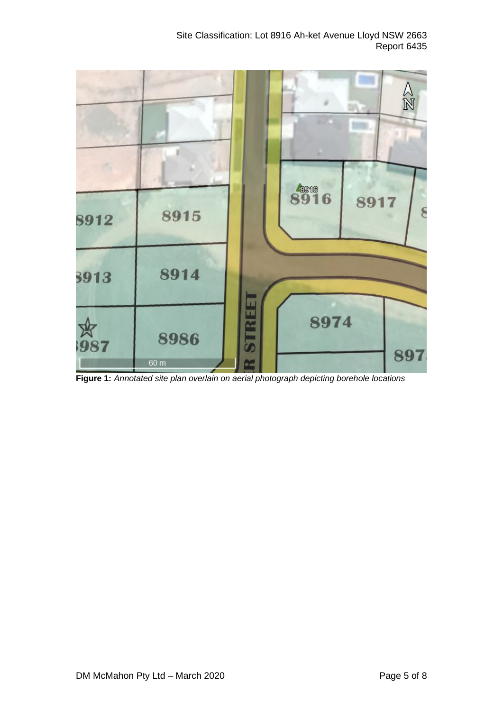Site Classification: Lot 8916 Ah-ket Avenue Lloyd NSW 2663 Report 6435



**Figure 1:** *Annotated site plan overlain on aerial photograph depicting borehole locations*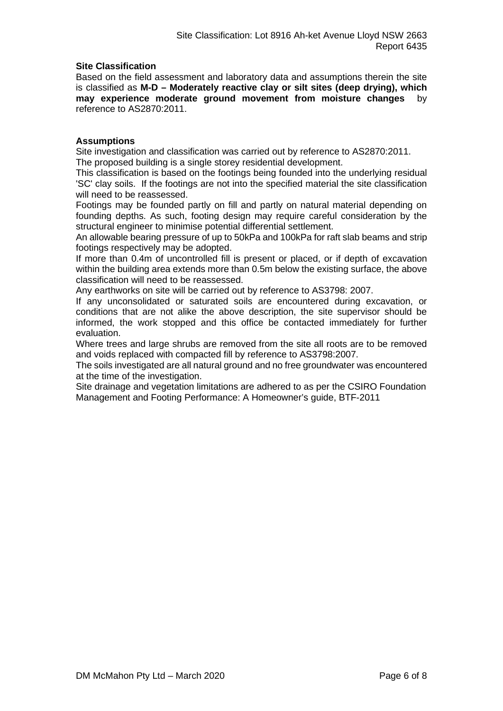### **Site Classification**

Based on the field assessment and laboratory data and assumptions therein the site is classified as **M-D – Moderately reactive clay or silt sites (deep drying), which may experience moderate ground movement from moisture changes** by reference to AS2870:2011.

### **Assumptions**

Site investigation and classification was carried out by reference to AS2870:2011. The proposed building is a single storey residential development.

This classification is based on the footings being founded into the underlying residual 'SC' clay soils. If the footings are not into the specified material the site classification will need to be reassessed.

Footings may be founded partly on fill and partly on natural material depending on founding depths. As such, footing design may require careful consideration by the structural engineer to minimise potential differential settlement.

An allowable bearing pressure of up to 50kPa and 100kPa for raft slab beams and strip footings respectively may be adopted.

If more than 0.4m of uncontrolled fill is present or placed, or if depth of excavation within the building area extends more than 0.5m below the existing surface, the above classification will need to be reassessed.

Any earthworks on site will be carried out by reference to AS3798: 2007.

If any unconsolidated or saturated soils are encountered during excavation, or conditions that are not alike the above description, the site supervisor should be informed, the work stopped and this office be contacted immediately for further evaluation.

Where trees and large shrubs are removed from the site all roots are to be removed and voids replaced with compacted fill by reference to AS3798:2007.

The soils investigated are all natural ground and no free groundwater was encountered at the time of the investigation.

Site drainage and vegetation limitations are adhered to as per the CSIRO Foundation Management and Footing Performance: A Homeowner's guide, BTF-2011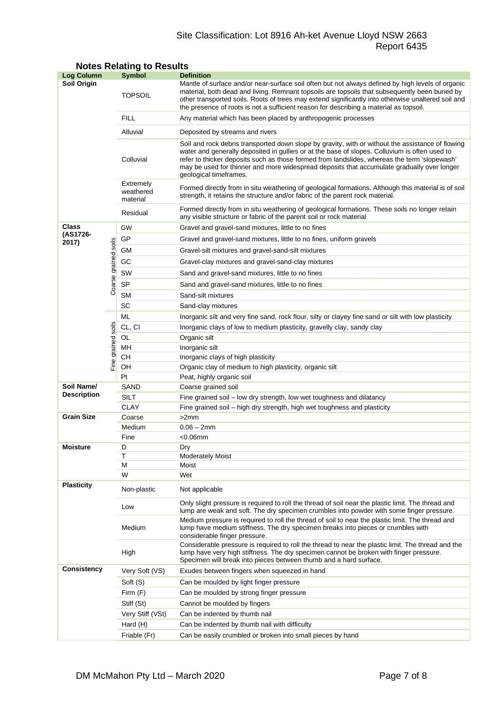# Site Classification: Lot 8916 Ah-ket Avenue Lloyd NSW 2663 Report 6435

| <b>Log Column</b>                |                      | <b>Symbol</b>                                                                                                                                                                                                                                                     | <b>Definition</b>                                                                                                                                                                                                                                                                                                                                                                                                          |  |  |  |  |
|----------------------------------|----------------------|-------------------------------------------------------------------------------------------------------------------------------------------------------------------------------------------------------------------------------------------------------------------|----------------------------------------------------------------------------------------------------------------------------------------------------------------------------------------------------------------------------------------------------------------------------------------------------------------------------------------------------------------------------------------------------------------------------|--|--|--|--|
| Soil Origin                      |                      | <b>TOPSOIL</b>                                                                                                                                                                                                                                                    | Mantle of surface and/or near-surface soil often but not always defined by high levels of organic<br>material, both dead and living. Remnant topsoils are topsoils that subsequently been buried by<br>other transported soils. Roots of trees may extend significantly into otherwise unaltered soil and<br>the presence of roots is not a sufficient reason for describing a material as topsoil.                        |  |  |  |  |
|                                  |                      | <b>FILL</b>                                                                                                                                                                                                                                                       | Any material which has been placed by anthropogenic processes                                                                                                                                                                                                                                                                                                                                                              |  |  |  |  |
|                                  |                      | Alluvial                                                                                                                                                                                                                                                          | Deposited by streams and rivers                                                                                                                                                                                                                                                                                                                                                                                            |  |  |  |  |
|                                  |                      | Colluvial                                                                                                                                                                                                                                                         | Soil and rock debris transported down slope by gravity, with or without the assistance of flowing<br>water and generally deposited in gullies or at the base of slopes. Colluvium is often used to<br>refer to thicker deposits such as those formed from landslides, whereas the term 'slopewash'<br>may be used for thinner and more widespread deposits that accumulate gradually over longer<br>geological timeframes. |  |  |  |  |
|                                  |                      | Extremely<br>weathered<br>material                                                                                                                                                                                                                                | Formed directly from in situ weathering of geological formations. Although this material is of soil<br>strength, it retains the structure and/or fabric of the parent rock material.                                                                                                                                                                                                                                       |  |  |  |  |
|                                  |                      | Residual                                                                                                                                                                                                                                                          | Formed directly from in situ weathering of geological formations. These soils no longer retain<br>any visible structure or fabric of the parent soil or rock material                                                                                                                                                                                                                                                      |  |  |  |  |
| <b>Class</b>                     |                      | GW                                                                                                                                                                                                                                                                | Gravel and gravel-sand mixtures, little to no fines                                                                                                                                                                                                                                                                                                                                                                        |  |  |  |  |
| (AS1726-<br>2017)                |                      | GP                                                                                                                                                                                                                                                                | Gravel and gravel-sand mixtures, little to no fines, uniform gravels                                                                                                                                                                                                                                                                                                                                                       |  |  |  |  |
|                                  |                      | GМ<br>Gravel-silt mixtures and gravel-sand-silt mixtures                                                                                                                                                                                                          |                                                                                                                                                                                                                                                                                                                                                                                                                            |  |  |  |  |
|                                  |                      | GC<br>Gravel-clay mixtures and gravel-sand-clay mixtures                                                                                                                                                                                                          |                                                                                                                                                                                                                                                                                                                                                                                                                            |  |  |  |  |
|                                  |                      | SW                                                                                                                                                                                                                                                                | Sand and gravel-sand mixtures, little to no fines                                                                                                                                                                                                                                                                                                                                                                          |  |  |  |  |
|                                  | Coarse grained soils | <b>SP</b>                                                                                                                                                                                                                                                         | Sand and gravel-sand mixtures, little to no fines                                                                                                                                                                                                                                                                                                                                                                          |  |  |  |  |
|                                  |                      | <b>SM</b>                                                                                                                                                                                                                                                         | Sand-silt mixtures                                                                                                                                                                                                                                                                                                                                                                                                         |  |  |  |  |
|                                  |                      | SC                                                                                                                                                                                                                                                                | Sand-clay mixtures                                                                                                                                                                                                                                                                                                                                                                                                         |  |  |  |  |
|                                  |                      | ML                                                                                                                                                                                                                                                                | Inorganic silt and very fine sand, rock flour, silty or clayey fine sand or silt with low plasticity                                                                                                                                                                                                                                                                                                                       |  |  |  |  |
|                                  |                      | CL, CI                                                                                                                                                                                                                                                            | Inorganic clays of low to medium plasticity, gravelly clay, sandy clay                                                                                                                                                                                                                                                                                                                                                     |  |  |  |  |
|                                  | grained soils        | OL                                                                                                                                                                                                                                                                | Organic silt                                                                                                                                                                                                                                                                                                                                                                                                               |  |  |  |  |
|                                  |                      | MН                                                                                                                                                                                                                                                                | Inorganic silt                                                                                                                                                                                                                                                                                                                                                                                                             |  |  |  |  |
| Fine                             |                      | CН                                                                                                                                                                                                                                                                | Inorganic clays of high plasticity                                                                                                                                                                                                                                                                                                                                                                                         |  |  |  |  |
|                                  |                      | OH                                                                                                                                                                                                                                                                | Organic clay of medium to high plasticity, organic silt                                                                                                                                                                                                                                                                                                                                                                    |  |  |  |  |
|                                  |                      | Pt                                                                                                                                                                                                                                                                | Peat, highly organic soil                                                                                                                                                                                                                                                                                                                                                                                                  |  |  |  |  |
| Soil Name/<br><b>Description</b> |                      | SAND                                                                                                                                                                                                                                                              | Coarse grained soil                                                                                                                                                                                                                                                                                                                                                                                                        |  |  |  |  |
|                                  |                      | <b>SILT</b>                                                                                                                                                                                                                                                       | Fine grained soil - low dry strength, low wet toughness and dilatancy                                                                                                                                                                                                                                                                                                                                                      |  |  |  |  |
| <b>Grain Size</b>                |                      | <b>CLAY</b>                                                                                                                                                                                                                                                       | Fine grained soil – high dry strength, high wet toughness and plasticity                                                                                                                                                                                                                                                                                                                                                   |  |  |  |  |
|                                  |                      | Coarse<br>Medium                                                                                                                                                                                                                                                  | >2mm<br>$0.06 - 2mm$                                                                                                                                                                                                                                                                                                                                                                                                       |  |  |  |  |
|                                  |                      | Fine                                                                                                                                                                                                                                                              | $<$ 0.06 $<$ mm                                                                                                                                                                                                                                                                                                                                                                                                            |  |  |  |  |
| Moisture                         |                      | D                                                                                                                                                                                                                                                                 | Dry                                                                                                                                                                                                                                                                                                                                                                                                                        |  |  |  |  |
|                                  |                      | Τ                                                                                                                                                                                                                                                                 | <b>Moderately Moist</b>                                                                                                                                                                                                                                                                                                                                                                                                    |  |  |  |  |
|                                  |                      | М                                                                                                                                                                                                                                                                 | Moist                                                                                                                                                                                                                                                                                                                                                                                                                      |  |  |  |  |
|                                  |                      | W                                                                                                                                                                                                                                                                 | Wet                                                                                                                                                                                                                                                                                                                                                                                                                        |  |  |  |  |
| <b>Plasticity</b>                |                      | Non-plastic                                                                                                                                                                                                                                                       | Not applicable                                                                                                                                                                                                                                                                                                                                                                                                             |  |  |  |  |
|                                  | Low                  | Only slight pressure is required to roll the thread of soil near the plastic limit. The thread and<br>lump are weak and soft. The dry specimen crumbles into powder with some finger pressure.                                                                    |                                                                                                                                                                                                                                                                                                                                                                                                                            |  |  |  |  |
|                                  |                      | Medium                                                                                                                                                                                                                                                            | Medium pressure is required to roll the thread of soil to near the plastic limit. The thread and<br>lump have medium stiffness. The dry specimen breaks into pieces or crumbles with<br>considerable finger pressure.                                                                                                                                                                                                      |  |  |  |  |
|                                  | High                 | Considerable pressure is required to roll the thread to near the plastic limit. The thread and the<br>lump have very high stiffness. The dry specimen cannot be broken with finger pressure.<br>Specimen will break into pieces between thumb and a hard surface. |                                                                                                                                                                                                                                                                                                                                                                                                                            |  |  |  |  |
| <b>Consistency</b>               |                      | Very Soft (VS)                                                                                                                                                                                                                                                    | Exudes between fingers when squeezed in hand                                                                                                                                                                                                                                                                                                                                                                               |  |  |  |  |
|                                  |                      | Soft (S)                                                                                                                                                                                                                                                          | Can be moulded by light finger pressure                                                                                                                                                                                                                                                                                                                                                                                    |  |  |  |  |
|                                  |                      | Firm (F)                                                                                                                                                                                                                                                          | Can be moulded by strong finger pressure                                                                                                                                                                                                                                                                                                                                                                                   |  |  |  |  |
|                                  |                      | Stiff (St)                                                                                                                                                                                                                                                        | Cannot be moulded by fingers                                                                                                                                                                                                                                                                                                                                                                                               |  |  |  |  |
|                                  |                      | Very Stiff (VSt)                                                                                                                                                                                                                                                  | Can be indented by thumb nail                                                                                                                                                                                                                                                                                                                                                                                              |  |  |  |  |
|                                  |                      | Hard (H)                                                                                                                                                                                                                                                          | Can be indented by thumb nail with difficulty                                                                                                                                                                                                                                                                                                                                                                              |  |  |  |  |
|                                  |                      | Friable (Fr)                                                                                                                                                                                                                                                      | Can be easily crumbled or broken into small pieces by hand                                                                                                                                                                                                                                                                                                                                                                 |  |  |  |  |

# **Notes Relating to Results**